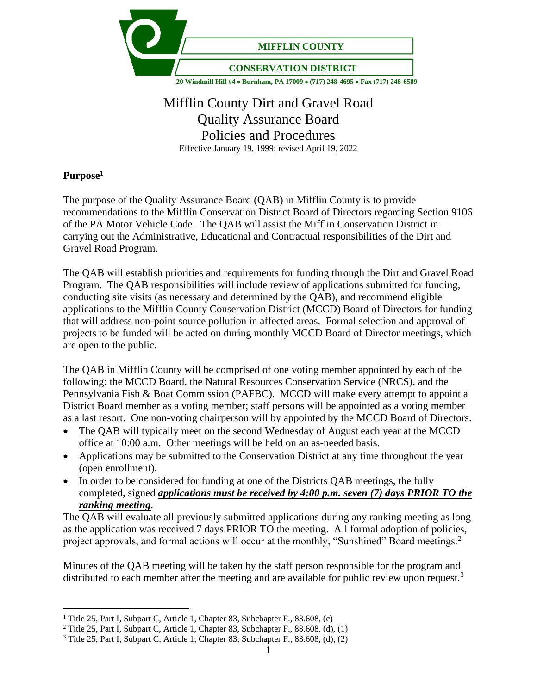

# Mifflin County Dirt and Gravel Road Quality Assurance Board Policies and Procedures Effective January 19, 1999; revised April 19, 2022

# **Purpose<sup>1</sup>**

The purpose of the Quality Assurance Board (QAB) in Mifflin County is to provide recommendations to the Mifflin Conservation District Board of Directors regarding Section 9106 of the PA Motor Vehicle Code. The QAB will assist the Mifflin Conservation District in carrying out the Administrative, Educational and Contractual responsibilities of the Dirt and Gravel Road Program.

The QAB will establish priorities and requirements for funding through the Dirt and Gravel Road Program. The QAB responsibilities will include review of applications submitted for funding, conducting site visits (as necessary and determined by the QAB), and recommend eligible applications to the Mifflin County Conservation District (MCCD) Board of Directors for funding that will address non-point source pollution in affected areas. Formal selection and approval of projects to be funded will be acted on during monthly MCCD Board of Director meetings, which are open to the public.

The QAB in Mifflin County will be comprised of one voting member appointed by each of the following: the MCCD Board, the Natural Resources Conservation Service (NRCS), and the Pennsylvania Fish & Boat Commission (PAFBC). MCCD will make every attempt to appoint a District Board member as a voting member; staff persons will be appointed as a voting member as a last resort. One non-voting chairperson will by appointed by the MCCD Board of Directors.

- The QAB will typically meet on the second Wednesday of August each year at the MCCD office at 10:00 a.m. Other meetings will be held on an as-needed basis.
- Applications may be submitted to the Conservation District at any time throughout the year (open enrollment).
- In order to be considered for funding at one of the Districts QAB meetings, the fully completed, signed *applications must be received by 4:00 p.m. seven (7) days PRIOR TO the ranking meeting*.

The QAB will evaluate all previously submitted applications during any ranking meeting as long as the application was received 7 days PRIOR TO the meeting. All formal adoption of policies, project approvals, and formal actions will occur at the monthly, "Sunshined" Board meetings.<sup>2</sup>

Minutes of the QAB meeting will be taken by the staff person responsible for the program and distributed to each member after the meeting and are available for public review upon request.<sup>3</sup>

<sup>&</sup>lt;sup>1</sup> Title 25, Part I, Subpart C, Article 1, Chapter 83, Subchapter F., 83.608, (c)

<sup>&</sup>lt;sup>2</sup> Title 25, Part I, Subpart C, Article 1, Chapter 83, Subchapter F., 83.608, (d), (1)

 $3$  Title 25, Part I, Subpart C, Article 1, Chapter 83, Subchapter F., 83.608, (d), (2)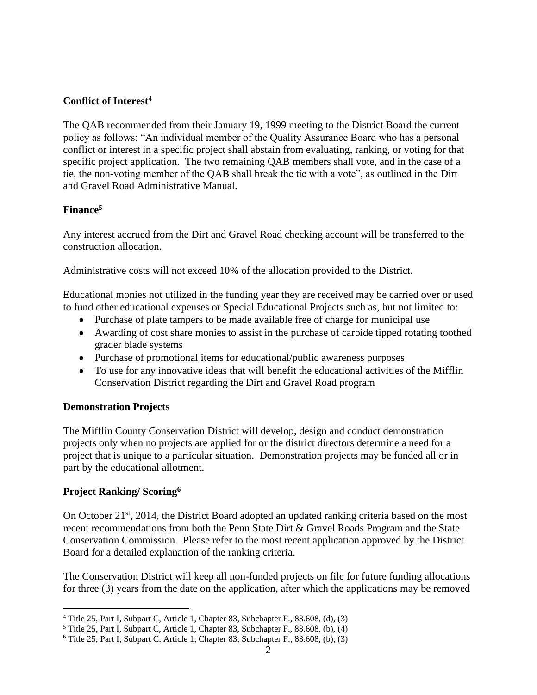# **Conflict of Interest<sup>4</sup>**

The QAB recommended from their January 19, 1999 meeting to the District Board the current policy as follows: "An individual member of the Quality Assurance Board who has a personal conflict or interest in a specific project shall abstain from evaluating, ranking, or voting for that specific project application. The two remaining QAB members shall vote, and in the case of a tie, the non-voting member of the QAB shall break the tie with a vote", as outlined in the Dirt and Gravel Road Administrative Manual.

# **Finance<sup>5</sup>**

Any interest accrued from the Dirt and Gravel Road checking account will be transferred to the construction allocation.

Administrative costs will not exceed 10% of the allocation provided to the District.

Educational monies not utilized in the funding year they are received may be carried over or used to fund other educational expenses or Special Educational Projects such as, but not limited to:

- Purchase of plate tampers to be made available free of charge for municipal use
- Awarding of cost share monies to assist in the purchase of carbide tipped rotating toothed grader blade systems
- Purchase of promotional items for educational/public awareness purposes
- To use for any innovative ideas that will benefit the educational activities of the Mifflin Conservation District regarding the Dirt and Gravel Road program

#### **Demonstration Projects**

The Mifflin County Conservation District will develop, design and conduct demonstration projects only when no projects are applied for or the district directors determine a need for a project that is unique to a particular situation. Demonstration projects may be funded all or in part by the educational allotment.

#### **Project Ranking/ Scoring<sup>6</sup>**

On October  $21<sup>st</sup>$ , 2014, the District Board adopted an updated ranking criteria based on the most recent recommendations from both the Penn State Dirt & Gravel Roads Program and the State Conservation Commission. Please refer to the most recent application approved by the District Board for a detailed explanation of the ranking criteria.

The Conservation District will keep all non-funded projects on file for future funding allocations for three (3) years from the date on the application, after which the applications may be removed

<sup>4</sup> Title 25, Part I, Subpart C, Article 1, Chapter 83, Subchapter F., 83.608, (d), (3)

 $5$  Title 25, Part I, Subpart C, Article 1, Chapter 83, Subchapter F., 83.608, (b), (4)

 $6$  Title 25, Part I, Subpart C, Article 1, Chapter 83, Subchapter F., 83.608, (b), (3)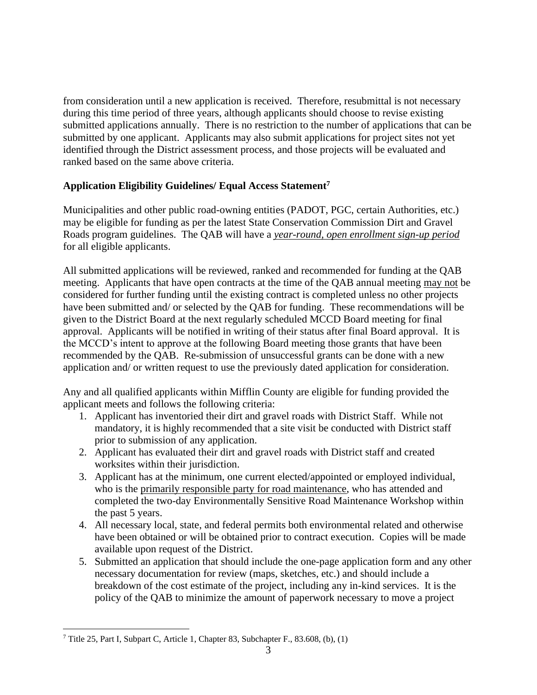from consideration until a new application is received. Therefore, resubmittal is not necessary during this time period of three years, although applicants should choose to revise existing submitted applications annually. There is no restriction to the number of applications that can be submitted by one applicant. Applicants may also submit applications for project sites not yet identified through the District assessment process, and those projects will be evaluated and ranked based on the same above criteria.

# **Application Eligibility Guidelines/ Equal Access Statement<sup>7</sup>**

Municipalities and other public road-owning entities (PADOT, PGC, certain Authorities, etc.) may be eligible for funding as per the latest State Conservation Commission Dirt and Gravel Roads program guidelines. The QAB will have a *year-round, open enrollment sign-up period* for all eligible applicants.

All submitted applications will be reviewed, ranked and recommended for funding at the QAB meeting. Applicants that have open contracts at the time of the QAB annual meeting may not be considered for further funding until the existing contract is completed unless no other projects have been submitted and/ or selected by the QAB for funding. These recommendations will be given to the District Board at the next regularly scheduled MCCD Board meeting for final approval. Applicants will be notified in writing of their status after final Board approval. It is the MCCD's intent to approve at the following Board meeting those grants that have been recommended by the QAB. Re-submission of unsuccessful grants can be done with a new application and/ or written request to use the previously dated application for consideration.

Any and all qualified applicants within Mifflin County are eligible for funding provided the applicant meets and follows the following criteria:

- 1. Applicant has inventoried their dirt and gravel roads with District Staff. While not mandatory, it is highly recommended that a site visit be conducted with District staff prior to submission of any application.
- 2. Applicant has evaluated their dirt and gravel roads with District staff and created worksites within their jurisdiction.
- 3. Applicant has at the minimum, one current elected/appointed or employed individual, who is the primarily responsible party for road maintenance, who has attended and completed the two-day Environmentally Sensitive Road Maintenance Workshop within the past 5 years.
- 4. All necessary local, state, and federal permits both environmental related and otherwise have been obtained or will be obtained prior to contract execution. Copies will be made available upon request of the District.
- 5. Submitted an application that should include the one-page application form and any other necessary documentation for review (maps, sketches, etc.) and should include a breakdown of the cost estimate of the project, including any in-kind services. It is the policy of the QAB to minimize the amount of paperwork necessary to move a project

 $7$  Title 25, Part I, Subpart C, Article 1, Chapter 83, Subchapter F., 83.608, (b), (1)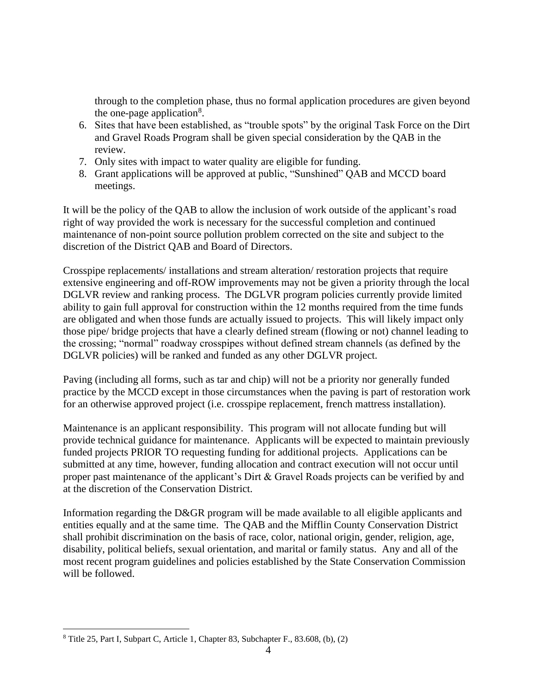through to the completion phase, thus no formal application procedures are given beyond the one-page application<sup>8</sup>.

- 6. Sites that have been established, as "trouble spots" by the original Task Force on the Dirt and Gravel Roads Program shall be given special consideration by the QAB in the review.
- 7. Only sites with impact to water quality are eligible for funding.
- 8. Grant applications will be approved at public, "Sunshined" QAB and MCCD board meetings.

It will be the policy of the QAB to allow the inclusion of work outside of the applicant's road right of way provided the work is necessary for the successful completion and continued maintenance of non-point source pollution problem corrected on the site and subject to the discretion of the District QAB and Board of Directors.

Crosspipe replacements/ installations and stream alteration/ restoration projects that require extensive engineering and off-ROW improvements may not be given a priority through the local DGLVR review and ranking process. The DGLVR program policies currently provide limited ability to gain full approval for construction within the 12 months required from the time funds are obligated and when those funds are actually issued to projects. This will likely impact only those pipe/ bridge projects that have a clearly defined stream (flowing or not) channel leading to the crossing; "normal" roadway crosspipes without defined stream channels (as defined by the DGLVR policies) will be ranked and funded as any other DGLVR project.

Paving (including all forms, such as tar and chip) will not be a priority nor generally funded practice by the MCCD except in those circumstances when the paving is part of restoration work for an otherwise approved project (i.e. crosspipe replacement, french mattress installation).

Maintenance is an applicant responsibility. This program will not allocate funding but will provide technical guidance for maintenance. Applicants will be expected to maintain previously funded projects PRIOR TO requesting funding for additional projects. Applications can be submitted at any time, however, funding allocation and contract execution will not occur until proper past maintenance of the applicant's Dirt & Gravel Roads projects can be verified by and at the discretion of the Conservation District.

Information regarding the D&GR program will be made available to all eligible applicants and entities equally and at the same time. The QAB and the Mifflin County Conservation District shall prohibit discrimination on the basis of race, color, national origin, gender, religion, age, disability, political beliefs, sexual orientation, and marital or family status. Any and all of the most recent program guidelines and policies established by the State Conservation Commission will be followed.

 $8$  Title 25, Part I, Subpart C, Article 1, Chapter 83, Subchapter F., 83.608, (b), (2)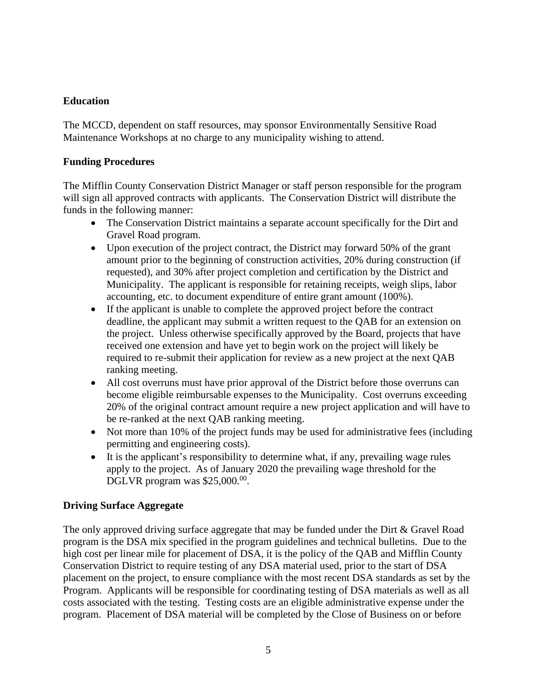# **Education**

The MCCD, dependent on staff resources, may sponsor Environmentally Sensitive Road Maintenance Workshops at no charge to any municipality wishing to attend.

#### **Funding Procedures**

The Mifflin County Conservation District Manager or staff person responsible for the program will sign all approved contracts with applicants. The Conservation District will distribute the funds in the following manner:

- The Conservation District maintains a separate account specifically for the Dirt and Gravel Road program.
- Upon execution of the project contract, the District may forward 50% of the grant amount prior to the beginning of construction activities, 20% during construction (if requested), and 30% after project completion and certification by the District and Municipality. The applicant is responsible for retaining receipts, weigh slips, labor accounting, etc. to document expenditure of entire grant amount (100%).
- If the applicant is unable to complete the approved project before the contract deadline, the applicant may submit a written request to the QAB for an extension on the project. Unless otherwise specifically approved by the Board, projects that have received one extension and have yet to begin work on the project will likely be required to re-submit their application for review as a new project at the next QAB ranking meeting.
- All cost overruns must have prior approval of the District before those overruns can become eligible reimbursable expenses to the Municipality. Cost overruns exceeding 20% of the original contract amount require a new project application and will have to be re-ranked at the next QAB ranking meeting.
- Not more than 10% of the project funds may be used for administrative fees (including permitting and engineering costs).
- It is the applicant's responsibility to determine what, if any, prevailing wage rules apply to the project. As of January 2020 the prevailing wage threshold for the DGLVR program was  $$25,000.^{00}$ .

#### **Driving Surface Aggregate**

The only approved driving surface aggregate that may be funded under the Dirt & Gravel Road program is the DSA mix specified in the program guidelines and technical bulletins. Due to the high cost per linear mile for placement of DSA, it is the policy of the QAB and Mifflin County Conservation District to require testing of any DSA material used, prior to the start of DSA placement on the project, to ensure compliance with the most recent DSA standards as set by the Program. Applicants will be responsible for coordinating testing of DSA materials as well as all costs associated with the testing. Testing costs are an eligible administrative expense under the program. Placement of DSA material will be completed by the Close of Business on or before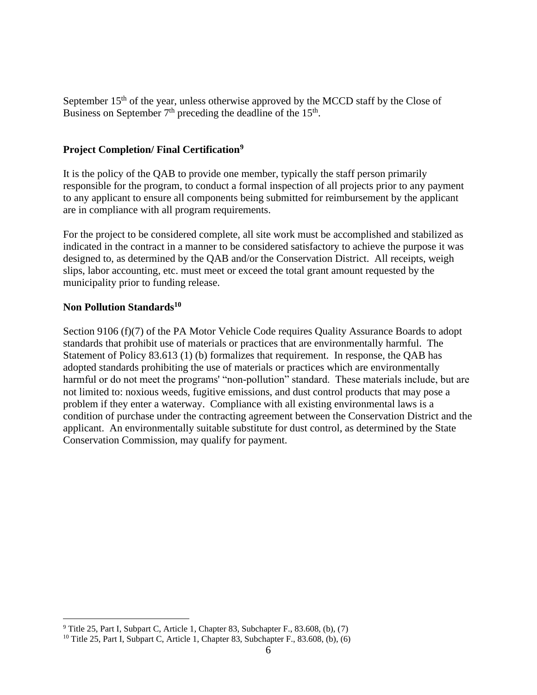September  $15<sup>th</sup>$  of the year, unless otherwise approved by the MCCD staff by the Close of Business on September  $7<sup>th</sup>$  preceding the deadline of the  $15<sup>th</sup>$ .

#### **Project Completion/ Final Certification<sup>9</sup>**

It is the policy of the QAB to provide one member, typically the staff person primarily responsible for the program, to conduct a formal inspection of all projects prior to any payment to any applicant to ensure all components being submitted for reimbursement by the applicant are in compliance with all program requirements.

For the project to be considered complete, all site work must be accomplished and stabilized as indicated in the contract in a manner to be considered satisfactory to achieve the purpose it was designed to, as determined by the QAB and/or the Conservation District. All receipts, weigh slips, labor accounting, etc. must meet or exceed the total grant amount requested by the municipality prior to funding release.

#### **Non Pollution Standards<sup>10</sup>**

Section 9106 (f)(7) of the PA Motor Vehicle Code requires Quality Assurance Boards to adopt standards that prohibit use of materials or practices that are environmentally harmful. The Statement of Policy 83.613 (1) (b) formalizes that requirement. In response, the QAB has adopted standards prohibiting the use of materials or practices which are environmentally harmful or do not meet the programs' "non-pollution" standard. These materials include, but are not limited to: noxious weeds, fugitive emissions, and dust control products that may pose a problem if they enter a waterway. Compliance with all existing environmental laws is a condition of purchase under the contracting agreement between the Conservation District and the applicant. An environmentally suitable substitute for dust control, as determined by the State Conservation Commission, may qualify for payment.

 $9$  Title 25, Part I, Subpart C, Article 1, Chapter 83, Subchapter F., 83.608, (b), (7)

<sup>&</sup>lt;sup>10</sup> Title 25, Part I, Subpart C, Article 1, Chapter 83, Subchapter F., 83.608, (b), (6)